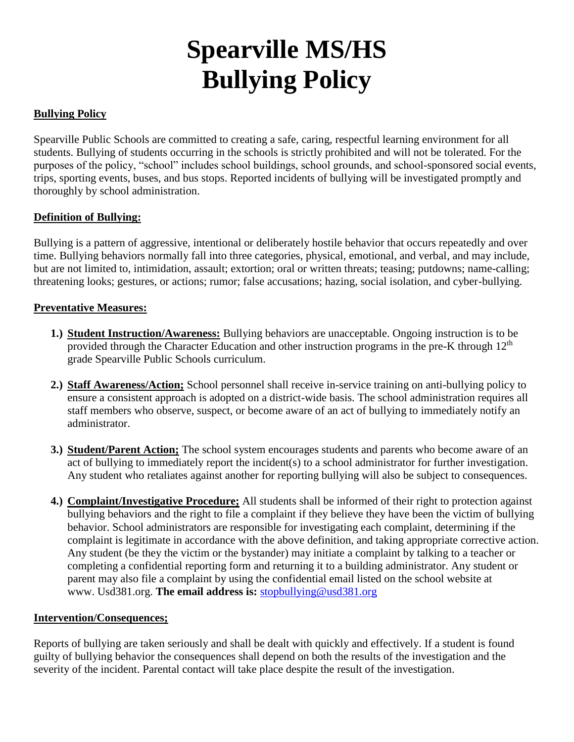# **Spearville MS/HS Bullying Policy**

## **Bullying Policy**

Spearville Public Schools are committed to creating a safe, caring, respectful learning environment for all students. Bullying of students occurring in the schools is strictly prohibited and will not be tolerated. For the purposes of the policy, "school" includes school buildings, school grounds, and school-sponsored social events, trips, sporting events, buses, and bus stops. Reported incidents of bullying will be investigated promptly and thoroughly by school administration.

## **Definition of Bullying:**

Bullying is a pattern of aggressive, intentional or deliberately hostile behavior that occurs repeatedly and over time. Bullying behaviors normally fall into three categories, physical, emotional, and verbal, and may include, but are not limited to, intimidation, assault; extortion; oral or written threats; teasing; putdowns; name-calling; threatening looks; gestures, or actions; rumor; false accusations; hazing, social isolation, and cyber-bullying.

#### **Preventative Measures:**

- **1.) Student Instruction/Awareness:** Bullying behaviors are unacceptable. Ongoing instruction is to be provided through the Character Education and other instruction programs in the pre-K through  $12<sup>th</sup>$ grade Spearville Public Schools curriculum.
- **2.) Staff Awareness/Action;** School personnel shall receive in-service training on anti-bullying policy to ensure a consistent approach is adopted on a district-wide basis. The school administration requires all staff members who observe, suspect, or become aware of an act of bullying to immediately notify an administrator.
- **3.) Student/Parent Action;** The school system encourages students and parents who become aware of an act of bullying to immediately report the incident(s) to a school administrator for further investigation. Any student who retaliates against another for reporting bullying will also be subject to consequences.
- **4.) Complaint/Investigative Procedure;** All students shall be informed of their right to protection against bullying behaviors and the right to file a complaint if they believe they have been the victim of bullying behavior. School administrators are responsible for investigating each complaint, determining if the complaint is legitimate in accordance with the above definition, and taking appropriate corrective action. Any student (be they the victim or the bystander) may initiate a complaint by talking to a teacher or completing a confidential reporting form and returning it to a building administrator. Any student or parent may also file a complaint by using the confidential email listed on the school website at www. Usd381.org. **The email address is:** [stopbullying@usd381.org](mailto:stopbullying@usd381.org)

#### **Intervention/Consequences;**

Reports of bullying are taken seriously and shall be dealt with quickly and effectively. If a student is found guilty of bullying behavior the consequences shall depend on both the results of the investigation and the severity of the incident. Parental contact will take place despite the result of the investigation.